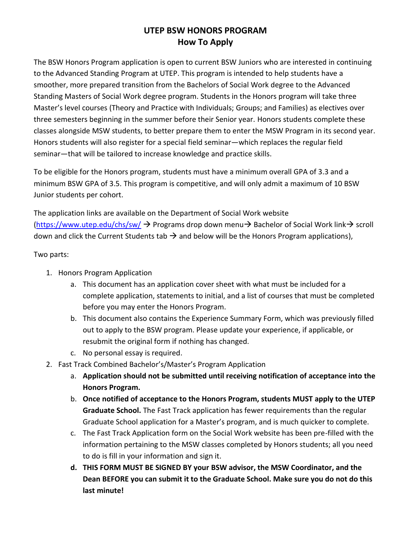## **UTEP BSW HONORS PROGRAM How To Apply**

The BSW Honors Program application is open to current BSW Juniors who are interested in continuing to the Advanced Standing Program at UTEP. This program is intended to help students have a smoother, more prepared transition from the Bachelors of Social Work degree to the Advanced Standing Masters of Social Work degree program. Students in the Honors program will take three Master's level courses (Theory and Practice with Individuals; Groups; and Families) as electives over three semesters beginning in the summer before their Senior year. Honors students complete these classes alongside MSW students, to better prepare them to enter the MSW Program in its second year. Honors students will also register for a special field seminar—which replaces the regular field seminar—that will be tailored to increase knowledge and practice skills.

To be eligible for the Honors program, students must have a minimum overall GPA of 3.3 and a minimum BSW GPA of 3.5. This program is competitive, and will only admit a maximum of 10 BSW Junior students per cohort.

The application links are available on the Department of Social Work website [\(https://www.utep.edu/chs/sw/](https://www.utep.edu/chs/sw/) → Programs drop down menu→ Bachelor of Social Work link→ scroll down and click the Current Students tab  $\rightarrow$  and below will be the Honors Program applications),

Two parts:

- 1. Honors Program Application
	- a. This document has an application cover sheet with what must be included for a complete application, statements to initial, and a list of courses that must be completed before you may enter the Honors Program.
	- b. This document also contains the Experience Summary Form, which was previously filled out to apply to the BSW program. Please update your experience, if applicable, or resubmit the original form if nothing has changed.
	- c. No personal essay is required.
- 2. Fast Track Combined Bachelor's/Master's Program Application
	- a. **Application should not be submitted until receiving notification of acceptance into the Honors Program.**
	- b. **Once notified of acceptance to the Honors Program, students MUST apply to the UTEP Graduate School.** The Fast Track application has fewer requirements than the regular Graduate School application for a Master's program, and is much quicker to complete.
	- c. The Fast Track Application form on the Social Work website has been pre-filled with the information pertaining to the MSW classes completed by Honors students; all you need to do is fill in your information and sign it.
	- **d. THIS FORM MUST BE SIGNED BY your BSW advisor, the MSW Coordinator, and the Dean BEFORE you can submit it to the Graduate School. Make sure you do not do this last minute!**